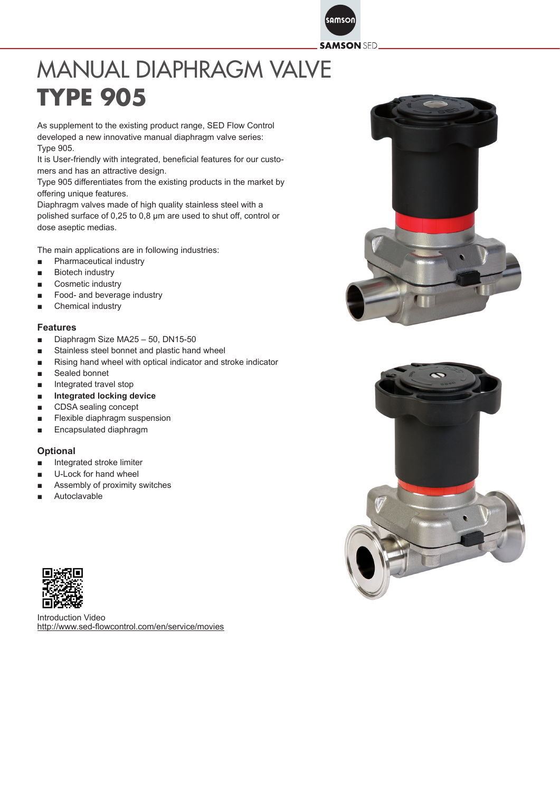samson **SAMSON SED** 

## MANUAL DIAPHRAGM VALVE **TYPE 905**

As supplement to the existing product range, SED Flow Control developed a new innovative manual diaphragm valve series: Type 905.

It is User-friendly with integrated, beneficial features for our customers and has an attractive design.

Type 905 differentiates from the existing products in the market by offering unique features.

Diaphragm valves made of high quality stainless steel with a polished surface of 0,25 to 0,8 μm are used to shut off, control or dose aseptic medias.

The main applications are in following industries:

- Pharmaceutical industry
- Biotech industry
- Cosmetic industry
- Food- and beverage industry
- Chemical industry

## **Features**

- Diaphragm Size MA25 50, DN15-50
- Stainless steel bonnet and plastic hand wheel
- Rising hand wheel with optical indicator and stroke indicator
- Sealed bonnet
- Integrated travel stop
- **Integrated locking device**
- CDSA sealing concept
- Flexible diaphragm suspension
- Encapsulated diaphragm

## **Optional**

- Integrated stroke limiter
- U-Lock for hand wheel
- Assembly of proximity switches
- Autoclavable



Introduction Video http://www.sed-flowcontrol.com/en/service/movies